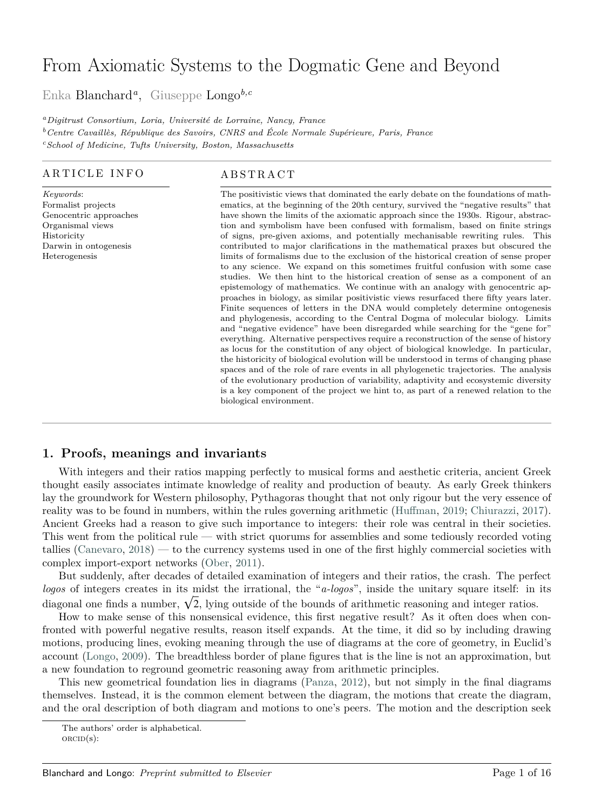# From Axiomatic Systems to the Dogmatic Gene and Beyond

Enka Blanchar[d](#page-0-0)*<sup>a</sup>* , Giuseppe Longo*b,c*

*<sup>a</sup>Digitrust Consortium, Loria, Université de Lorraine, Nancy, France <sup>b</sup>Centre Cavaillès, République des Savoirs, CNRS and École Normale Supérieure, Paris, France <sup>c</sup>School of Medicine, Tufts University, Boston, Massachusetts*

#### ARTICLE INFO

*Keywords*: Formalist projects Genocentric approaches Organismal views Historicity Darwin in ontogenesis Heterogenesis

#### A B S T R A C T

The positivistic views that dominated the early debate on the foundations of mathematics, at the beginning of the 20th century, survived the "negative results" that have shown the limits of the axiomatic approach since the 1930s. Rigour, abstraction and symbolism have been confused with formalism, based on finite strings of signs, pre-given axioms, and potentially mechanisable rewriting rules. This contributed to major clarifications in the mathematical praxes but obscured the limits of formalisms due to the exclusion of the historical creation of sense proper to any science. We expand on this sometimes fruitful confusion with some case studies. We then hint to the historical creation of sense as a component of an epistemology of mathematics. We continue with an analogy with genocentric approaches in biology, as similar positivistic views resurfaced there fifty years later. Finite sequences of letters in the DNA would completely determine ontogenesis and phylogenesis, according to the Central Dogma of molecular biology. Limits and "negative evidence" have been disregarded while searching for the "gene for" everything. Alternative perspectives require a reconstruction of the sense of history as locus for the constitution of any object of biological knowledge. In particular, the historicity of biological evolution will be understood in terms of changing phase spaces and of the role of rare events in all phylogenetic trajectories. The analysis of the evolutionary production of variability, adaptivity and ecosystemic diversity is a key component of the project we hint to, as part of a renewed relation to the biological environment.

## <span id="page-0-1"></span>**1. Proofs, meanings and invariants**

With integers and their ratios mapping perfectly to musical forms and aesthetic criteria, ancient Greek thought easily associates intimate knowledge of reality and production of beauty. As early Greek thinkers lay the groundwork for Western philosophy, Pythagoras thought that not only rigour but the very essence of reality was to be found in numbers, within the rules governing arithmetic [\(Huffman,](#page-14-0) [2019;](#page-14-0) [Chiurazzi,](#page-13-0) [2017\)](#page-13-0). Ancient Greeks had a reason to give such importance to integers: their role was central in their societies. This went from the political rule — with strict quorums for assemblies and some tediously recorded voting tallies [\(Canevaro,](#page-13-1) [2018\)](#page-13-1) — to the currency systems used in one of the first highly commercial societies with complex import-export networks [\(Ober,](#page-14-1) [2011\)](#page-14-1).

But suddenly, after decades of detailed examination of integers and their ratios, the crash. The perfect *logos* of integers creates in its midst the irrational, the "*a-logos*", inside the unitary square itself: in its diagonal one finds a number,  $\sqrt{2}$ , lying outside of the bounds of arithmetic reasoning and integer ratios.

How to make sense of this nonsensical evidence, this first negative result? As it often does when confronted with powerful negative results, reason itself expands. At the time, it did so by including drawing motions, producing lines, evoking meaning through the use of diagrams at the core of geometry, in Euclid's account [\(Longo,](#page-14-2) [2009\)](#page-14-2). The breadthless border of plane figures that is the line is not an approximation, but a new foundation to reground geometric reasoning away from arithmetic principles.

This new geometrical foundation lies in diagrams [\(Panza,](#page-14-3) [2012\)](#page-14-3), but not simply in the final diagrams themselves. Instead, it is the common element between the diagram, the motions that create the diagram, and the oral description of both diagram and motions to one's peers. The motion and the description seek

<span id="page-0-0"></span>The authors' order is alphabetical.

 $ORCID(s)$ :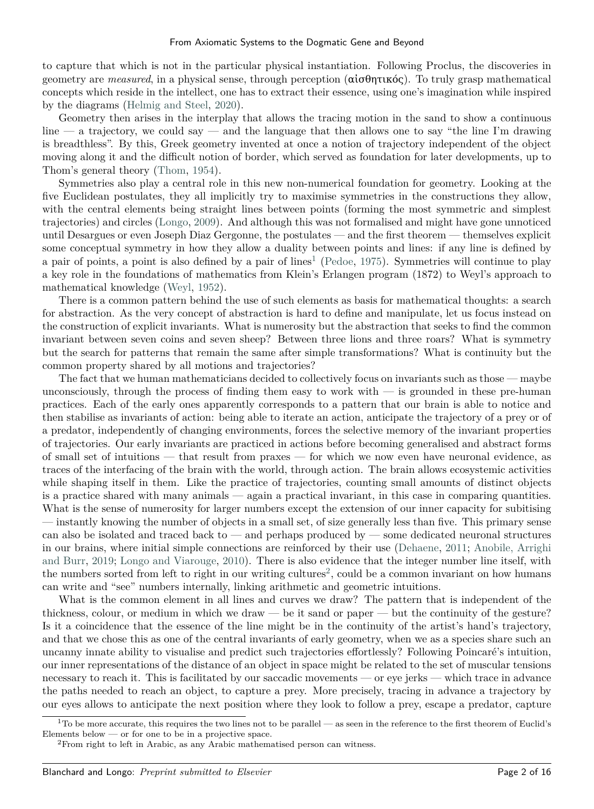to capture that which is not in the particular physical instantiation. Following Proclus, the discoveries in geometry are *measured*, in a physical sense, through perception (αἰσθητικός). To truly grasp mathematical concepts which reside in the intellect, one has to extract their essence, using one's imagination while inspired by the diagrams [\(Helmig and Steel,](#page-13-2) [2020\)](#page-13-2).

Geometry then arises in the interplay that allows the tracing motion in the sand to show a continuous  $\lim_{\alpha \to 0}$  increases that the language that then allows one to say "the line I'm drawing is breadthless". By this, Greek geometry invented at once a notion of trajectory independent of the object moving along it and the difficult notion of border, which served as foundation for later developments, up to Thom's general theory [\(Thom,](#page-15-0) [1954\)](#page-15-0).

Symmetries also play a central role in this new non-numerical foundation for geometry. Looking at the five Euclidean postulates, they all implicitly try to maximise symmetries in the constructions they allow, with the central elements being straight lines between points (forming the most symmetric and simplest trajectories) and circles [\(Longo,](#page-14-2) [2009\)](#page-14-2). And although this was not formalised and might have gone unnoticed until Desargues or even Joseph Diaz Gergonne, the postulates — and the first theorem — themselves explicit some conceptual symmetry in how they allow a duality between points and lines: if any line is defined by a pair of points, a point is also defined by a pair of lines<sup>[1](#page-1-0)</sup> [\(Pedoe,](#page-14-4) [1975\)](#page-14-4). Symmetries will continue to play a key role in the foundations of mathematics from Klein's Erlangen program (1872) to Weyl's approach to mathematical knowledge [\(Weyl,](#page-15-1) [1952\)](#page-15-1).

There is a common pattern behind the use of such elements as basis for mathematical thoughts: a search for abstraction. As the very concept of abstraction is hard to define and manipulate, let us focus instead on the construction of explicit invariants. What is numerosity but the abstraction that seeks to find the common invariant between seven coins and seven sheep? Between three lions and three roars? What is symmetry but the search for patterns that remain the same after simple transformations? What is continuity but the common property shared by all motions and trajectories?

The fact that we human mathematicians decided to collectively focus on invariants such as those — maybe unconsciously, through the process of finding them easy to work with  $-$  is grounded in these pre-human practices. Each of the early ones apparently corresponds to a pattern that our brain is able to notice and then stabilise as invariants of action: being able to iterate an action, anticipate the trajectory of a prey or of a predator, independently of changing environments, forces the selective memory of the invariant properties of trajectories. Our early invariants are practiced in actions before becoming generalised and abstract forms of small set of intuitions — that result from praxes — for which we now even have neuronal evidence, as traces of the interfacing of the brain with the world, through action. The brain allows ecosystemic activities while shaping itself in them. Like the practice of trajectories, counting small amounts of distinct objects is a practice shared with many animals — again a practical invariant, in this case in comparing quantities. What is the sense of numerosity for larger numbers except the extension of our inner capacity for subitising — instantly knowing the number of objects in a small set, of size generally less than five. This primary sense can also be isolated and traced back to — and perhaps produced by — some dedicated neuronal structures in our brains, where initial simple connections are reinforced by their use [\(Dehaene,](#page-13-3) [2011;](#page-13-3) [Anobile, Arrighi](#page-13-4) [and Burr,](#page-13-4) [2019;](#page-13-4) [Longo and Viarouge,](#page-14-5) [2010\)](#page-14-5). There is also evidence that the integer number line itself, with the numbers sorted from left to right in our writing cultures<sup>[2](#page-1-1)</sup>, could be a common invariant on how humans can write and "see" numbers internally, linking arithmetic and geometric intuitions.

What is the common element in all lines and curves we draw? The pattern that is independent of the thickness, colour, or medium in which we draw — be it sand or paper — but the continuity of the gesture? Is it a coincidence that the essence of the line might be in the continuity of the artist's hand's trajectory, and that we chose this as one of the central invariants of early geometry, when we as a species share such an uncanny innate ability to visualise and predict such trajectories effortlessly? Following Poincaré's intuition, our inner representations of the distance of an object in space might be related to the set of muscular tensions necessary to reach it. This is facilitated by our saccadic movements — or eye jerks — which trace in advance the paths needed to reach an object, to capture a prey. More precisely, tracing in advance a trajectory by our eyes allows to anticipate the next position where they look to follow a prey, escape a predator, capture

<span id="page-1-0"></span> $1$ To be more accurate, this requires the two lines not to be parallel — as seen in the reference to the first theorem of Euclid's Elements below — or for one to be in a projective space.

<span id="page-1-1"></span><sup>2</sup>From right to left in Arabic, as any Arabic mathematised person can witness.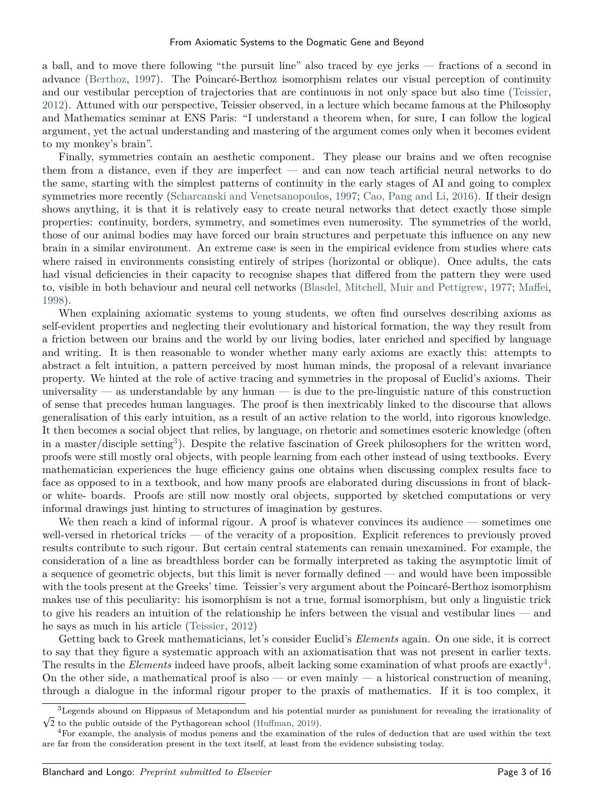a ball, and to move there following "the pursuit line" also traced by eye jerks — fractions of a second in advance [\(Berthoz,](#page-13-5) [1997\)](#page-13-5). The Poincaré-Berthoz isomorphism relates our visual perception of continuity and our vestibular perception of trajectories that are continuous in not only space but also time [\(Teissier,](#page-15-2) [2012\)](#page-15-2). Attuned with our perspective, Teissier observed, in a lecture which became famous at the Philosophy and Mathematics seminar at ENS Paris: "I understand a theorem when, for sure, I can follow the logical argument, yet the actual understanding and mastering of the argument comes only when it becomes evident to my monkey's brain".

Finally, symmetries contain an aesthetic component. They please our brains and we often recognise them from a distance, even if they are imperfect — and can now teach artificial neural networks to do the same, starting with the simplest patterns of continuity in the early stages of AI and going to complex symmetries more recently [\(Scharcanski and Venetsanopoulos,](#page-14-6) [1997;](#page-14-6) [Cao, Pang and Li,](#page-13-6) [2016\)](#page-13-6). If their design shows anything, it is that it is relatively easy to create neural networks that detect exactly those simple properties: continuity, borders, symmetry, and sometimes even numerosity. The symmetries of the world, those of our animal bodies may have forced our brain structures and perpetuate this influence on any new brain in a similar environment. An extreme case is seen in the empirical evidence from studies where cats where raised in environments consisting entirely of stripes (horizontal or oblique). Once adults, the cats had visual deficiencies in their capacity to recognise shapes that differed from the pattern they were used to, visible in both behaviour and neural cell networks [\(Blasdel, Mitchell, Muir and Pettigrew,](#page-13-7) [1977;](#page-13-7) [Maffei,](#page-14-7) [1998\)](#page-14-7).

When explaining axiomatic systems to young students, we often find ourselves describing axioms as self-evident properties and neglecting their evolutionary and historical formation, the way they result from a friction between our brains and the world by our living bodies, later enriched and specified by language and writing. It is then reasonable to wonder whether many early axioms are exactly this: attempts to abstract a felt intuition, a pattern perceived by most human minds, the proposal of a relevant invariance property. We hinted at the role of active tracing and symmetries in the proposal of Euclid's axioms. Their universality — as understandable by any human — is due to the pre-linguistic nature of this construction of sense that precedes human languages. The proof is then inextricably linked to the discourse that allows generalisation of this early intuition, as a result of an active relation to the world, into rigorous knowledge. It then becomes a social object that relies, by language, on rhetoric and sometimes esoteric knowledge (often in a master/disciple setting<sup>[3](#page-2-0)</sup>). Despite the relative fascination of Greek philosophers for the written word, proofs were still mostly oral objects, with people learning from each other instead of using textbooks. Every mathematician experiences the huge efficiency gains one obtains when discussing complex results face to face as opposed to in a textbook, and how many proofs are elaborated during discussions in front of blackor white- boards. Proofs are still now mostly oral objects, supported by sketched computations or very informal drawings just hinting to structures of imagination by gestures.

We then reach a kind of informal rigour. A proof is whatever convinces its audience — sometimes one well-versed in rhetorical tricks — of the veracity of a proposition. Explicit references to previously proved results contribute to such rigour. But certain central statements can remain unexamined. For example, the consideration of a line as breadthless border can be formally interpreted as taking the asymptotic limit of a sequence of geometric objects, but this limit is never formally defined — and would have been impossible with the tools present at the Greeks' time. Teissier's very argument about the Poincaré-Berthoz isomorphism makes use of this peculiarity: his isomorphism is not a true, formal isomorphism, but only a linguistic trick to give his readers an intuition of the relationship he infers between the visual and vestibular lines — and he says as much in his article [\(Teissier,](#page-15-2) [2012\)](#page-15-2)

Getting back to Greek mathematicians, let's consider Euclid's *Elements* again. On one side, it is correct to say that they figure a systematic approach with an axiomatisation that was not present in earlier texts. The results in the *Elements* indeed have proofs, albeit lacking some examination of what proofs are exactly<sup>[4](#page-2-1)</sup>. On the other side, a mathematical proof is also — or even mainly — a historical construction of meaning, through a dialogue in the informal rigour proper to the praxis of mathematics. If it is too complex, it

<span id="page-2-0"></span><sup>3</sup> Legends abound on Hippasus of Metapondum and his potential murder as punishment for revealing the irrationality of  $\sqrt{2}$  to the public outside of the Pythagorean school [\(Huffman,](#page-14-0) [2019\)](#page-14-0).

<span id="page-2-1"></span> $4$ For example, the analysis of modus ponens and the examination of the rules of deduction that are used within the text are far from the consideration present in the text itself, at least from the evidence subsisting today.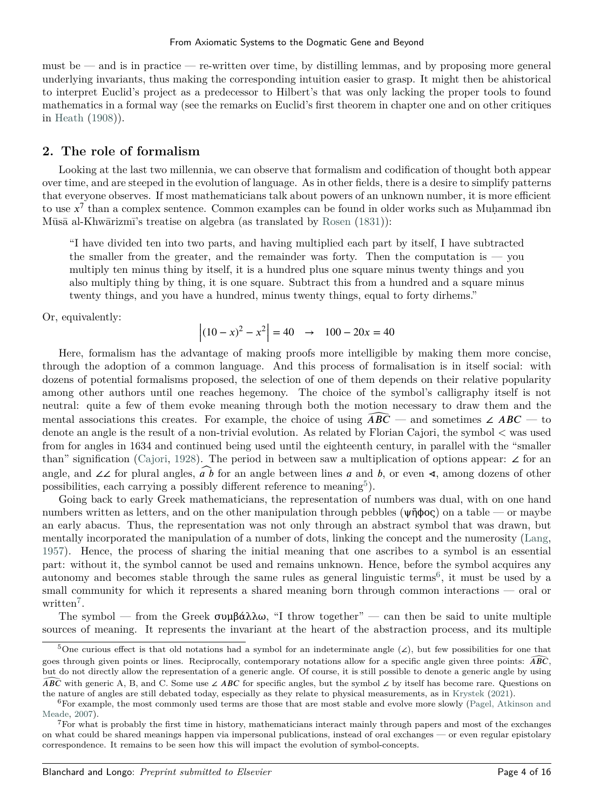must be — and is in practice — re-written over time, by distilling lemmas, and by proposing more general underlying invariants, thus making the corresponding intuition easier to grasp. It might then be ahistorical to interpret Euclid's project as a predecessor to Hilbert's that was only lacking the proper tools to found mathematics in a formal way (see the remarks on Euclid's first theorem in chapter one and on other critiques in [Heath](#page-13-8) [\(1908\)](#page-13-8)).

### **2. The role of formalism**

Looking at the last two millennia, we can observe that formalism and codification of thought both appear over time, and are steeped in the evolution of language. As in other fields, there is a desire to simplify patterns that everyone observes. If most mathematicians talk about powers of an unknown number, it is more efficient to use  $x^7$  than a complex sentence. Common examples can be found in older works such as Muhammad ibn Mūsā al-Khwārizmī's treatise on algebra (as translated by [Rosen](#page-14-8) [\(1831\)](#page-14-8)):

"I have divided ten into two parts, and having multiplied each part by itself, I have subtracted the smaller from the greater, and the remainder was forty. Then the computation is  $-$  you multiply ten minus thing by itself, it is a hundred plus one square minus twenty things and you also multiply thing by thing, it is one square. Subtract this from a hundred and a square minus twenty things, and you have a hundred, minus twenty things, equal to forty dirhems."

Or, equivalently:

$$
\left| (10 - x)^2 - x^2 \right| = 40 \rightarrow 100 - 20x = 40
$$

Here, formalism has the advantage of making proofs more intelligible by making them more concise, through the adoption of a common language. And this process of formalisation is in itself social: with dozens of potential formalisms proposed, the selection of one of them depends on their relative popularity among other authors until one reaches hegemony. The choice of the symbol's calligraphy itself is not neutral: quite a few of them evoke meaning through both the motion necessary to draw them and the mental associations this creates. For example, the choice of using  $\widehat{ABC}$  — and sometimes ∠  $ABC$  — to denote an angle is the result of a non-trivial evolution. As related by Florian Cajori, the symbol < was used from for angles in 1634 and continued being used until the eighteenth century, in parallel with the "smaller than" signification [\(Cajori,](#page-13-9) [1928\)](#page-13-9). The period in between saw a multiplication of options appear: ∠ for an angle, and ∠∠ for plural angles,  $\widehat{ab}$  for an angle between lines a and b, or even ∢, among dozens of other possibilities, each carrying a possibly different reference to meaning<sup>[5](#page-3-0)</sup>).

Going back to early Greek mathematicians, the representation of numbers was dual, with on one hand numbers written as letters, and on the other manipulation through pebbles (ψῆϕος) on a table — or maybe an early abacus. Thus, the representation was not only through an abstract symbol that was drawn, but mentally incorporated the manipulation of a number of dots, linking the concept and the numerosity [\(Lang,](#page-14-9) [1957\)](#page-14-9). Hence, the process of sharing the initial meaning that one ascribes to a symbol is an essential part: without it, the symbol cannot be used and remains unknown. Hence, before the symbol acquires any autonomy and becomes stable through the same rules as general linguistic terms<sup>[6](#page-3-1)</sup>, it must be used by a small community for which it represents a shared meaning born through common interactions — oral or written<sup>[7](#page-3-2)</sup>.

The symbol — from the Greek  $\sigma \nu \mu \beta \alpha \lambda \lambda \omega$ , "I throw together" — can then be said to unite multiple sources of meaning. It represents the invariant at the heart of the abstraction process, and its multiple

<span id="page-3-0"></span><sup>&</sup>lt;sup>5</sup>One curious effect is that old notations had a symbol for an indeterminate angle  $(2)$ , but few possibilities for one that goes through given points or lines. Reciprocally, contemporary notations allow for a specific angle given three points:  $\widehat{ABC}$ , but do not directly allow the representation of a generic angle. Of course, it is still possible to denote a generic angle by using *ABC* with generic A, B, and C. Some use ∠ *ABC* for specific angles, but the symbol ∠ by itself has become rare. Questions on the nature of angles are still debated today, especially as they relate to physical measurements, as in [Krystek](#page-14-10) [\(2021\)](#page-14-10).

<span id="page-3-1"></span><sup>6</sup>For example, the most commonly used terms are those that are most stable and evolve more slowly [\(Pagel, Atkinson and](#page-14-11) [Meade,](#page-14-11) [2007\)](#page-14-11).

<span id="page-3-2"></span><sup>7</sup>For what is probably the first time in history, mathematicians interact mainly through papers and most of the exchanges on what could be shared meanings happen via impersonal publications, instead of oral exchanges — or even regular epistolary correspondence. It remains to be seen how this will impact the evolution of symbol-concepts.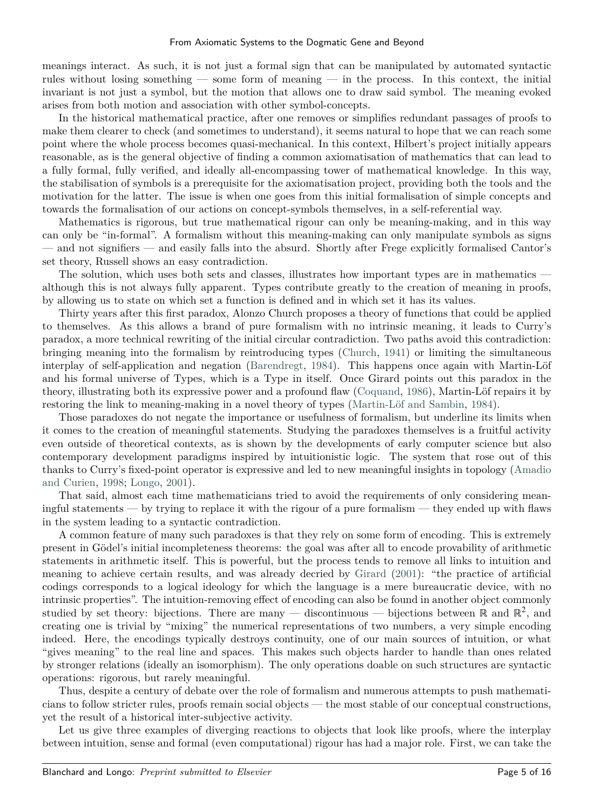meanings interact. As such, it is not just a formal sign that can be manipulated by automated syntactic rules without losing something — some form of meaning — in the process. In this context, the initial invariant is not just a symbol, but the motion that allows one to draw said symbol. The meaning evoked arises from both motion and association with other symbol-concepts.

In the historical mathematical practice, after one removes or simplifies redundant passages of proofs to make them clearer to check (and sometimes to understand), it seems natural to hope that we can reach some point where the whole process becomes quasi-mechanical. In this context, Hilbert's project initially appears reasonable, as is the general objective of finding a common axiomatisation of mathematics that can lead to a fully formal, fully verified, and ideally all-encompassing tower of mathematical knowledge. In this way, the stabilisation of symbols is a prerequisite for the axiomatisation project, providing both the tools and the motivation for the latter. The issue is when one goes from this initial formalisation of simple concepts and towards the formalisation of our actions on concept-symbols themselves, in a self-referential way.

Mathematics is rigorous, but true mathematical rigour can only be meaning-making, and in this way can only be "in-formal". A formalism without this meaning-making can only manipulate symbols as signs — and not signifiers — and easily falls into the absurd. Shortly after Frege explicitly formalised Cantor's set theory, Russell shows an easy contradiction.

The solution, which uses both sets and classes, illustrates how important types are in mathematics although this is not always fully apparent. Types contribute greatly to the creation of meaning in proofs, by allowing us to state on which set a function is defined and in which set it has its values.

Thirty years after this first paradox, Alonzo Church proposes a theory of functions that could be applied to themselves. As this allows a brand of pure formalism with no intrinsic meaning, it leads to Curry's paradox, a more technical rewriting of the initial circular contradiction. Two paths avoid this contradiction: bringing meaning into the formalism by reintroducing types [\(Church,](#page-13-10) [1941\)](#page-13-10) or limiting the simultaneous interplay of self-application and negation [\(Barendregt,](#page-13-11) [1984\)](#page-13-11). This happens once again with Martin-Löf and his formal universe of Types, which is a Type in itself. Once Girard points out this paradox in the theory, illustrating both its expressive power and a profound flaw [\(Coquand,](#page-13-12) [1986\)](#page-13-12), Martin-Löf repairs it by restoring the link to meaning-making in a novel theory of types [\(Martin-Löf and Sambin,](#page-14-12) [1984\)](#page-14-12).

Those paradoxes do not negate the importance or usefulness of formalism, but underline its limits when it comes to the creation of meaningful statements. Studying the paradoxes themselves is a fruitful activity even outside of theoretical contexts, as is shown by the developments of early computer science but also contemporary development paradigms inspired by intuitionistic logic. The system that rose out of this thanks to Curry's fixed-point operator is expressive and led to new meaningful insights in topology [\(Amadio](#page-13-13) [and Curien,](#page-13-13) [1998;](#page-13-13) [Longo,](#page-14-13) [2001\)](#page-14-13).

That said, almost each time mathematicians tried to avoid the requirements of only considering meaningful statements — by trying to replace it with the rigour of a pure formalism — they ended up with flaws in the system leading to a syntactic contradiction.

A common feature of many such paradoxes is that they rely on some form of encoding. This is extremely present in Gödel's initial incompleteness theorems: the goal was after all to encode provability of arithmetic statements in arithmetic itself. This is powerful, but the process tends to remove all links to intuition and meaning to achieve certain results, and was already decried by [Girard](#page-13-14) [\(2001\)](#page-13-14): "the practice of artificial codings corresponds to a logical ideology for which the language is a mere bureaucratic device, with no intrinsic properties". The intuition-removing effect of encoding can also be found in another object commonly studied by set theory: bijections. There are many — discontinuous — bijections between ℝ and ℝ<sup>2</sup>, and creating one is trivial by "mixing" the numerical representations of two numbers, a very simple encoding indeed. Here, the encodings typically destroys continuity, one of our main sources of intuition, or what "gives meaning" to the real line and spaces. This makes such objects harder to handle than ones related by stronger relations (ideally an isomorphism). The only operations doable on such structures are syntactic operations: rigorous, but rarely meaningful.

Thus, despite a century of debate over the role of formalism and numerous attempts to push mathematicians to follow stricter rules, proofs remain social objects — the most stable of our conceptual constructions, yet the result of a historical inter-subjective activity.

Let us give three examples of diverging reactions to objects that look like proofs, where the interplay between intuition, sense and formal (even computational) rigour has had a major role. First, we can take the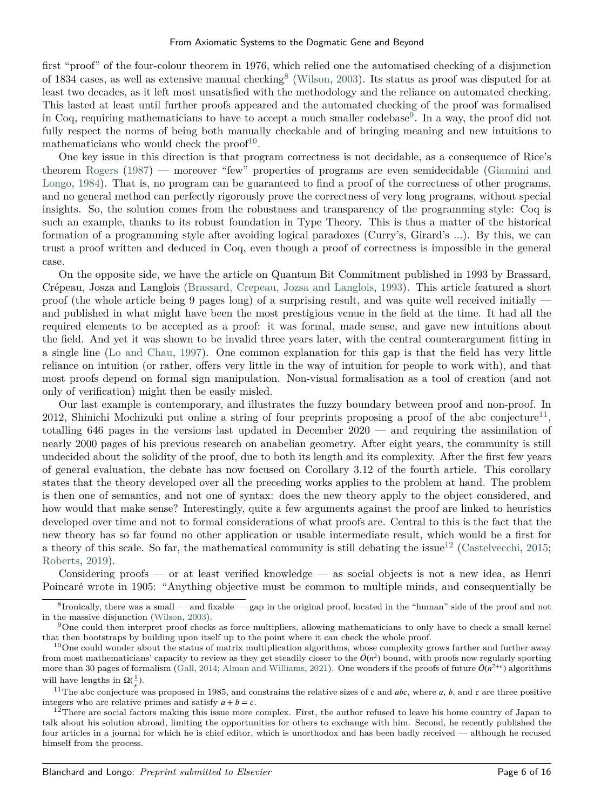first "proof" of the four-colour theorem in 1976, which relied one the automatised checking of a disjunction of 1[8](#page-5-0)34 cases, as well as extensive manual checking<sup>8</sup> [\(Wilson,](#page-15-3) [2003\)](#page-15-3). Its status as proof was disputed for at least two decades, as it left most unsatisfied with the methodology and the reliance on automated checking. This lasted at least until further proofs appeared and the automated checking of the proof was formalised in Coq, requiring mathematicians to have to accept a much smaller codebase<sup>[9](#page-5-1)</sup>. In a way, the proof did not fully respect the norms of being both manually checkable and of bringing meaning and new intuitions to mathematicians who would check the proof<sup>[10](#page-5-2)</sup>.

One key issue in this direction is that program correctness is not decidable, as a consequence of Rice's theorem [Rogers](#page-14-14) [\(1987\)](#page-14-14) — moreover "few" properties of programs are even semidecidable [\(Giannini and](#page-13-15) [Longo,](#page-13-15) [1984\)](#page-13-15). That is, no program can be guaranteed to find a proof of the correctness of other programs, and no general method can perfectly rigorously prove the correctness of very long programs, without special insights. So, the solution comes from the robustness and transparency of the programming style: Coq is such an example, thanks to its robust foundation in Type Theory. This is thus a matter of the historical formation of a programming style after avoiding logical paradoxes (Curry's, Girard's ...). By this, we can trust a proof written and deduced in Coq, even though a proof of correctness is impossible in the general case.

On the opposite side, we have the article on Quantum Bit Commitment published in 1993 by Brassard, Crépeau, Josza and Langlois [\(Brassard, Crepeau, Jozsa and Langlois,](#page-13-16) [1993\)](#page-13-16). This article featured a short proof (the whole article being 9 pages long) of a surprising result, and was quite well received initially and published in what might have been the most prestigious venue in the field at the time. It had all the required elements to be accepted as a proof: it was formal, made sense, and gave new intuitions about the field. And yet it was shown to be invalid three years later, with the central counterargument fitting in a single line [\(Lo and Chau,](#page-14-15) [1997\)](#page-14-15). One common explanation for this gap is that the field has very little reliance on intuition (or rather, offers very little in the way of intuition for people to work with), and that most proofs depend on formal sign manipulation. Non-visual formalisation as a tool of creation (and not only of verification) might then be easily misled.

Our last example is contemporary, and illustrates the fuzzy boundary between proof and non-proof. In 2012, Shinichi Mochizuki put online a string of four preprints proposing a proof of the abc conjecture<sup>[11](#page-5-3)</sup>, totalling 646 pages in the versions last updated in December 2020 — and requiring the assimilation of nearly 2000 pages of his previous research on anabelian geometry. After eight years, the community is still undecided about the solidity of the proof, due to both its length and its complexity. After the first few years of general evaluation, the debate has now focused on Corollary 3.12 of the fourth article. This corollary states that the theory developed over all the preceding works applies to the problem at hand. The problem is then one of semantics, and not one of syntax: does the new theory apply to the object considered, and how would that make sense? Interestingly, quite a few arguments against the proof are linked to heuristics developed over time and not to formal considerations of what proofs are. Central to this is the fact that the new theory has so far found no other application or usable intermediate result, which would be a first for a theory of this scale. So far, the mathematical community is still debating the issue<sup>[12](#page-5-4)</sup> [\(Castelvecchi,](#page-13-17) [2015;](#page-13-17) [Roberts,](#page-14-16) [2019\)](#page-14-16).

Considering proofs — or at least verified knowledge — as social objects is not a new idea, as Henri Poincaré wrote in 1905: "Anything objective must be common to multiple minds, and consequentially be

<span id="page-5-0"></span><sup>&</sup>lt;sup>8</sup> Ironically, there was a small — and fixable — gap in the original proof, located in the "human" side of the proof and not in the massive disjunction [\(Wilson,](#page-15-3) [2003\)](#page-15-3).

<span id="page-5-1"></span><sup>9</sup>One could then interpret proof checks as force multipliers, allowing mathematicians to only have to check a small kernel that then bootstraps by building upon itself up to the point where it can check the whole proof.

<span id="page-5-2"></span> $10$ One could wonder about the status of matrix multiplication algorithms, whose complexity grows further and further away from most mathematicians' capacity to review as they get steadily closer to the  $\tilde{O}(n^2)$  bound, with proofs now regularly sporting more than 30 pages of formalism [\(Gall,](#page-13-18) [2014;](#page-13-18) [Alman and Williams,](#page-13-19) [2021\)](#page-13-19). One wonders if the proofs of future  $\tilde{O}(n^{2+\epsilon})$  algorithms will have lengths in  $\Omega(\frac{1}{\epsilon})$ .

<span id="page-5-3"></span><sup>&</sup>lt;sup>11</sup>The abc conjecture was proposed in 1985, and constrains the relative sizes of *c* and *abc*, where *a*, *b*, and *c* are three positive integers who are relative primes and satisfy  $a + b = c$ .

<span id="page-5-4"></span> $1<sup>2</sup>$ There are social factors making this issue more complex. First, the author refused to leave his home country of Japan to talk about his solution abroad, limiting the opportunities for others to exchange with him. Second, he recently published the four articles in a journal for which he is chief editor, which is unorthodox and has been badly received — although he recused himself from the process.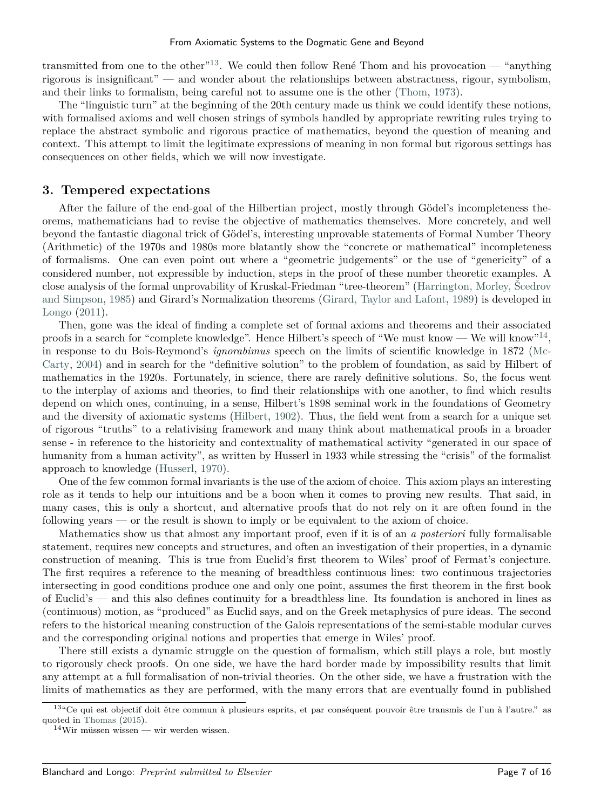transmitted from one to the other<sup>"[13](#page-6-0)</sup>. We could then follow René Thom and his provocation — "anything" rigorous is insignificant" — and wonder about the relationships between abstractness, rigour, symbolism, and their links to formalism, being careful not to assume one is the other [\(Thom,](#page-15-4) [1973\)](#page-15-4).

The "linguistic turn" at the beginning of the 20th century made us think we could identify these notions, with formalised axioms and well chosen strings of symbols handled by appropriate rewriting rules trying to replace the abstract symbolic and rigorous practice of mathematics, beyond the question of meaning and context. This attempt to limit the legitimate expressions of meaning in non formal but rigorous settings has consequences on other fields, which we will now investigate.

#### **3. Tempered expectations**

After the failure of the end-goal of the Hilbertian project, mostly through Gödel's incompleteness theorems, mathematicians had to revise the objective of mathematics themselves. More concretely, and well beyond the fantastic diagonal trick of Gödel's, interesting unprovable statements of Formal Number Theory (Arithmetic) of the 1970s and 1980s more blatantly show the "concrete or mathematical" incompleteness of formalisms. One can even point out where a "geometric judgements" or the use of "genericity" of a considered number, not expressible by induction, steps in the proof of these number theoretic examples. A close analysis of the formal unprovability of Kruskal-Friedman "tree-theorem" [\(Harrington, Morley, Šcedrov](#page-13-20) [and Simpson,](#page-13-20) [1985\)](#page-13-20) and Girard's Normalization theorems [\(Girard, Taylor and Lafont,](#page-13-21) [1989\)](#page-13-21) is developed in [Longo](#page-14-17) [\(2011\)](#page-14-17).

Then, gone was the ideal of finding a complete set of formal axioms and theorems and their associated proofs in a search for "complete knowledge". Hence Hilbert's speech of "We must know — We will know"<sup>[14](#page-6-1)</sup>, in response to du Bois-Reymond's *ignorabimus* speech on the limits of scientific knowledge in 1872 [\(Mc-](#page-14-18)[Carty,](#page-14-18) [2004\)](#page-14-18) and in search for the "definitive solution" to the problem of foundation, as said by Hilbert of mathematics in the 1920s. Fortunately, in science, there are rarely definitive solutions. So, the focus went to the interplay of axioms and theories, to find their relationships with one another, to find which results depend on which ones, continuing, in a sense, Hilbert's 1898 seminal work in the foundations of Geometry and the diversity of axiomatic systems [\(Hilbert,](#page-13-22) [1902\)](#page-13-22). Thus, the field went from a search for a unique set of rigorous "truths" to a relativising framework and many think about mathematical proofs in a broader sense - in reference to the historicity and contextuality of mathematical activity "generated in our space of humanity from a human activity", as written by Husserl in 1933 while stressing the "crisis" of the formalist approach to knowledge [\(Husserl,](#page-14-19) [1970\)](#page-14-19).

One of the few common formal invariants is the use of the axiom of choice. This axiom plays an interesting role as it tends to help our intuitions and be a boon when it comes to proving new results. That said, in many cases, this is only a shortcut, and alternative proofs that do not rely on it are often found in the following years — or the result is shown to imply or be equivalent to the axiom of choice.

Mathematics show us that almost any important proof, even if it is of an *a posteriori* fully formalisable statement, requires new concepts and structures, and often an investigation of their properties, in a dynamic construction of meaning. This is true from Euclid's first theorem to Wiles' proof of Fermat's conjecture. The first requires a reference to the meaning of breadthless continuous lines: two continuous trajectories intersecting in good conditions produce one and only one point, assumes the first theorem in the first book of Euclid's — and this also defines continuity for a breadthless line. Its foundation is anchored in lines as (continuous) motion, as "produced" as Euclid says, and on the Greek metaphysics of pure ideas. The second refers to the historical meaning construction of the Galois representations of the semi-stable modular curves and the corresponding original notions and properties that emerge in Wiles' proof.

There still exists a dynamic struggle on the question of formalism, which still plays a role, but mostly to rigorously check proofs. On one side, we have the hard border made by impossibility results that limit any attempt at a full formalisation of non-trivial theories. On the other side, we have a frustration with the limits of mathematics as they are performed, with the many errors that are eventually found in published

<span id="page-6-0"></span><sup>13</sup>"Ce qui est objectif doit être commun à plusieurs esprits, et par conséquent pouvoir être transmis de l'un à l'autre." as quoted in [Thomas](#page-15-5) [\(2015\)](#page-15-5).

<span id="page-6-1"></span> $^{14}\mathrm{Wir}$  müssen wissen — wir werden wissen.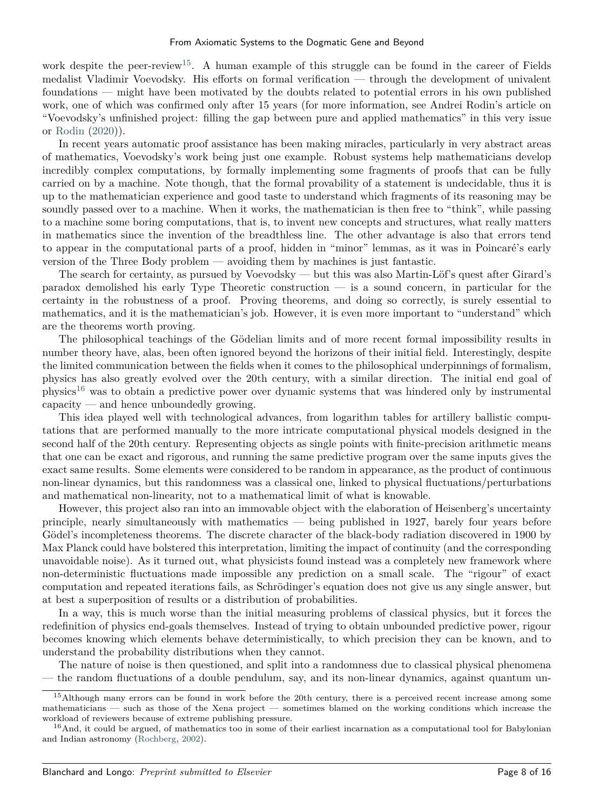work despite the peer-review<sup>[15](#page-7-0)</sup>. A human example of this struggle can be found in the career of Fields medalist Vladimir Voevodsky. His efforts on formal verification — through the development of univalent foundations — might have been motivated by the doubts related to potential errors in his own published work, one of which was confirmed only after 15 years (for more information, see Andrei Rodin's article on "Voevodsky's unfinished project: filling the gap between pure and applied mathematics" in this very issue or [Rodin](#page-14-20) [\(2020\)](#page-14-20)).

In recent years automatic proof assistance has been making miracles, particularly in very abstract areas of mathematics, Voevodsky's work being just one example. Robust systems help mathematicians develop incredibly complex computations, by formally implementing some fragments of proofs that can be fully carried on by a machine. Note though, that the formal provability of a statement is undecidable, thus it is up to the mathematician experience and good taste to understand which fragments of its reasoning may be soundly passed over to a machine. When it works, the mathematician is then free to "think", while passing to a machine some boring computations, that is, to invent new concepts and structures, what really matters in mathematics since the invention of the breadthless line. The other advantage is also that errors tend to appear in the computational parts of a proof, hidden in "minor" lemmas, as it was in Poincaré's early version of the Three Body problem — avoiding them by machines is just fantastic.

The search for certainty, as pursued by Voevodsky — but this was also Martin-Löf's quest after Girard's paradox demolished his early Type Theoretic construction — is a sound concern, in particular for the certainty in the robustness of a proof. Proving theorems, and doing so correctly, is surely essential to mathematics, and it is the mathematician's job. However, it is even more important to "understand" which are the theorems worth proving.

The philosophical teachings of the Gödelian limits and of more recent formal impossibility results in number theory have, alas, been often ignored beyond the horizons of their initial field. Interestingly, despite the limited communication between the fields when it comes to the philosophical underpinnings of formalism, physics has also greatly evolved over the 20th century, with a similar direction. The initial end goal of physics[16](#page-7-1) was to obtain a predictive power over dynamic systems that was hindered only by instrumental capacity — and hence unboundedly growing.

This idea played well with technological advances, from logarithm tables for artillery ballistic computations that are performed manually to the more intricate computational physical models designed in the second half of the 20th century. Representing objects as single points with finite-precision arithmetic means that one can be exact and rigorous, and running the same predictive program over the same inputs gives the exact same results. Some elements were considered to be random in appearance, as the product of continuous non-linear dynamics, but this randomness was a classical one, linked to physical fluctuations/perturbations and mathematical non-linearity, not to a mathematical limit of what is knowable.

However, this project also ran into an immovable object with the elaboration of Heisenberg's uncertainty principle, nearly simultaneously with mathematics — being published in 1927, barely four years before Gödel's incompleteness theorems. The discrete character of the black-body radiation discovered in 1900 by Max Planck could have bolstered this interpretation, limiting the impact of continuity (and the corresponding unavoidable noise). As it turned out, what physicists found instead was a completely new framework where non-deterministic fluctuations made impossible any prediction on a small scale. The "rigour" of exact computation and repeated iterations fails, as Schrödinger's equation does not give us any single answer, but at best a superposition of results or a distribution of probabilities.

In a way, this is much worse than the initial measuring problems of classical physics, but it forces the redefinition of physics end-goals themselves. Instead of trying to obtain unbounded predictive power, rigour becomes knowing which elements behave deterministically, to which precision they can be known, and to understand the probability distributions when they cannot.

The nature of noise is then questioned, and split into a randomness due to classical physical phenomena — the random fluctuations of a double pendulum, say, and its non-linear dynamics, against quantum un-

<span id="page-7-0"></span><sup>&</sup>lt;sup>15</sup>Although many errors can be found in work before the 20th century, there is a perceived recent increase among some mathematicians — such as those of the Xena project — sometimes blamed on the working conditions which increase the workload of reviewers because of extreme publishing pressure.

<span id="page-7-1"></span> $^{16}$ And, it could be argued, of mathematics too in some of their earliest incarnation as a computational tool for Babylonian and Indian astronomy [\(Rochberg,](#page-14-21) [2002\)](#page-14-21).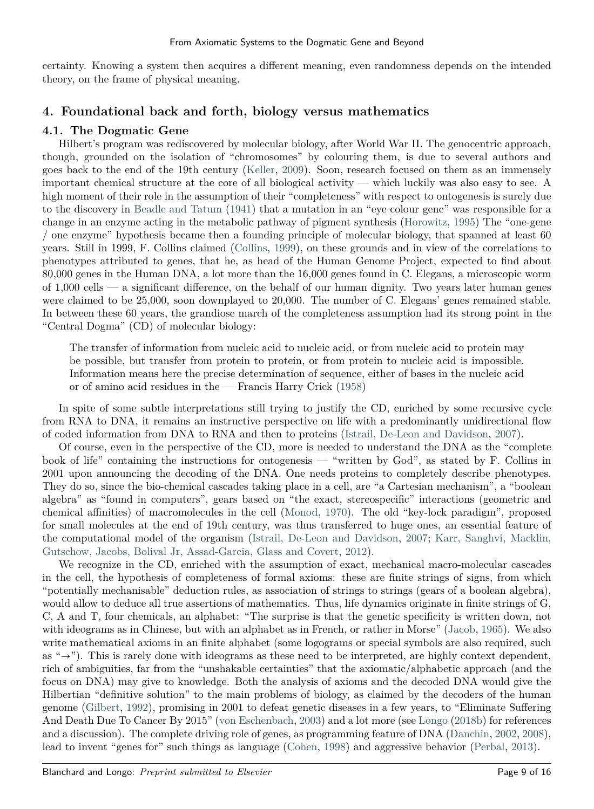certainty. Knowing a system then acquires a different meaning, even randomness depends on the intended theory, on the frame of physical meaning.

## **4. Foundational back and forth, biology versus mathematics**

## **4.1. The Dogmatic Gene**

Hilbert's program was rediscovered by molecular biology, after World War II. The genocentric approach, though, grounded on the isolation of "chromosomes" by colouring them, is due to several authors and goes back to the end of the 19th century [\(Keller,](#page-14-22) [2009\)](#page-14-22). Soon, research focused on them as an immensely important chemical structure at the core of all biological activity — which luckily was also easy to see. A high moment of their role in the assumption of their "completeness" with respect to ontogenesis is surely due to the discovery in [Beadle and Tatum](#page-13-23) [\(1941\)](#page-13-23) that a mutation in an "eye colour gene" was responsible for a change in an enzyme acting in the metabolic pathway of pigment synthesis [\(Horowitz,](#page-14-23) [1995\)](#page-14-23) The "one-gene / one enzyme" hypothesis became then a founding principle of molecular biology, that spanned at least 60 years. Still in 1999, F. Collins claimed [\(Collins,](#page-13-24) [1999\)](#page-13-24), on these grounds and in view of the correlations to phenotypes attributed to genes, that he, as head of the Human Genome Project, expected to find about 80,000 genes in the Human DNA, a lot more than the 16,000 genes found in C. Elegans, a microscopic worm of 1,000 cells — a significant difference, on the behalf of our human dignity. Two years later human genes were claimed to be 25,000, soon downplayed to 20,000. The number of C. Elegans' genes remained stable. In between these 60 years, the grandiose march of the completeness assumption had its strong point in the "Central Dogma" (CD) of molecular biology:

The transfer of information from nucleic acid to nucleic acid, or from nucleic acid to protein may be possible, but transfer from protein to protein, or from protein to nucleic acid is impossible. Information means here the precise determination of sequence, either of bases in the nucleic acid or of amino acid residues in the — Francis Harry Crick [\(1958\)](#page-13-25)

In spite of some subtle interpretations still trying to justify the CD, enriched by some recursive cycle from RNA to DNA, it remains an instructive perspective on life with a predominantly unidirectional flow of coded information from DNA to RNA and then to proteins [\(Istrail, De-Leon and Davidson,](#page-14-24) [2007\)](#page-14-24).

Of course, even in the perspective of the CD, more is needed to understand the DNA as the "complete book of life" containing the instructions for ontogenesis — "written by God", as stated by F. Collins in 2001 upon announcing the decoding of the DNA. One needs proteins to completely describe phenotypes. They do so, since the bio-chemical cascades taking place in a cell, are "a Cartesian mechanism", a "boolean algebra" as "found in computers", gears based on "the exact, stereospecific" interactions (geometric and chemical affinities) of macromolecules in the cell [\(Monod,](#page-14-25) [1970\)](#page-14-25). The old "key-lock paradigm", proposed for small molecules at the end of 19th century, was thus transferred to huge ones, an essential feature of the computational model of the organism [\(Istrail, De-Leon and Davidson,](#page-14-24) [2007;](#page-14-24) [Karr, Sanghvi, Macklin,](#page-14-26) [Gutschow, Jacobs, Bolival Jr, Assad-Garcia, Glass and Covert,](#page-14-26) [2012\)](#page-14-26).

We recognize in the CD, enriched with the assumption of exact, mechanical macro-molecular cascades in the cell, the hypothesis of completeness of formal axioms: these are finite strings of signs, from which "potentially mechanisable" deduction rules, as association of strings to strings (gears of a boolean algebra), would allow to deduce all true assertions of mathematics. Thus, life dynamics originate in finite strings of G, C, A and T, four chemicals, an alphabet: "The surprise is that the genetic specificity is written down, not with ideograms as in Chinese, but with an alphabet as in French, or rather in Morse" [\(Jacob,](#page-14-27) [1965\)](#page-14-27). We also write mathematical axioms in an finite alphabet (some logograms or special symbols are also required, such as "→"). This is rarely done with ideograms as these need to be interpreted, are highly context dependent, rich of ambiguities, far from the "unshakable certainties" that the axiomatic/alphabetic approach (and the focus on DNA) may give to knowledge. Both the analysis of axioms and the decoded DNA would give the Hilbertian "definitive solution" to the main problems of biology, as claimed by the decoders of the human genome [\(Gilbert,](#page-13-26) [1992\)](#page-13-26), promising in 2001 to defeat genetic diseases in a few years, to "Eliminate Suffering And Death Due To Cancer By 2015" [\(von Eschenbach,](#page-13-27) [2003\)](#page-13-27) and a lot more (see [Longo](#page-14-28) [\(2018b\)](#page-14-28) for references and a discussion). The complete driving role of genes, as programming feature of DNA [\(Danchin,](#page-13-28) [2002,](#page-13-28) [2008\)](#page-13-29), lead to invent "genes for" such things as language [\(Cohen,](#page-13-30) [1998\)](#page-13-30) and aggressive behavior [\(Perbal,](#page-14-29) [2013\)](#page-14-29).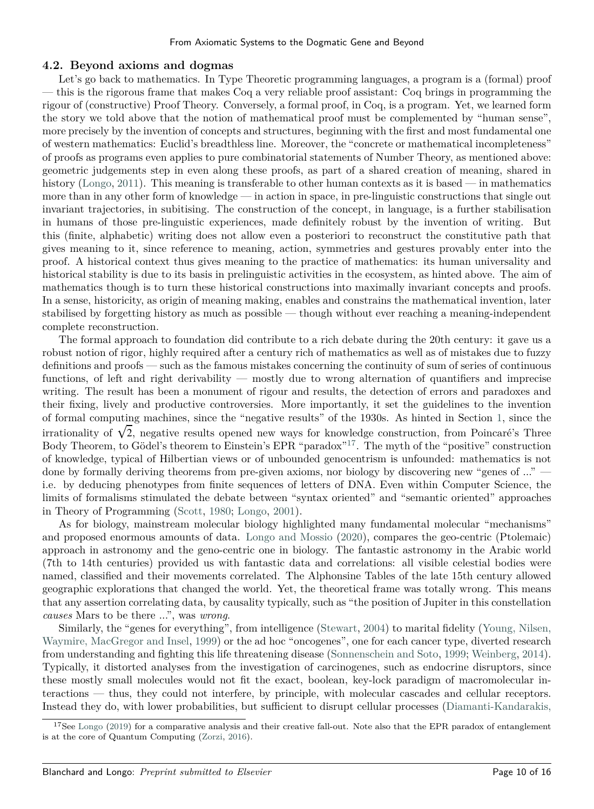#### **4.2. Beyond axioms and dogmas**

Let's go back to mathematics. In Type Theoretic programming languages, a program is a (formal) proof — this is the rigorous frame that makes Coq a very reliable proof assistant: Coq brings in programming the rigour of (constructive) Proof Theory. Conversely, a formal proof, in Coq, is a program. Yet, we learned form the story we told above that the notion of mathematical proof must be complemented by "human sense", more precisely by the invention of concepts and structures, beginning with the first and most fundamental one of western mathematics: Euclid's breadthless line. Moreover, the "concrete or mathematical incompleteness" of proofs as programs even applies to pure combinatorial statements of Number Theory, as mentioned above: geometric judgements step in even along these proofs, as part of a shared creation of meaning, shared in history [\(Longo,](#page-14-17) [2011\)](#page-14-17). This meaning is transferable to other human contexts as it is based — in mathematics more than in any other form of knowledge — in action in space, in pre-linguistic constructions that single out invariant trajectories, in subitising. The construction of the concept, in language, is a further stabilisation in humans of those pre-linguistic experiences, made definitely robust by the invention of writing. But this (finite, alphabetic) writing does not allow even a posteriori to reconstruct the constitutive path that gives meaning to it, since reference to meaning, action, symmetries and gestures provably enter into the proof. A historical context thus gives meaning to the practice of mathematics: its human universality and historical stability is due to its basis in prelinguistic activities in the ecosystem, as hinted above. The aim of mathematics though is to turn these historical constructions into maximally invariant concepts and proofs. In a sense, historicity, as origin of meaning making, enables and constrains the mathematical invention, later stabilised by forgetting history as much as possible — though without ever reaching a meaning-independent complete reconstruction.

The formal approach to foundation did contribute to a rich debate during the 20th century: it gave us a robust notion of rigor, highly required after a century rich of mathematics as well as of mistakes due to fuzzy definitions and proofs — such as the famous mistakes concerning the continuity of sum of series of continuous functions, of left and right derivability — mostly due to wrong alternation of quantifiers and imprecise writing. The result has been a monument of rigour and results, the detection of errors and paradoxes and their fixing, lively and productive controversies. More importantly, it set the guidelines to the invention of formal computing machines, since the "negative results" of the 1930s. As hinted in Section [1,](#page-0-1) since the irrationality of  $\sqrt{2}$ , negative results opened new ways for knowledge construction, from Poincaré's Three Body Theorem, to Gödel's theorem to Einstein's EPR "paradox"[17](#page-9-0). The myth of the "positive" construction of knowledge, typical of Hilbertian views or of unbounded genocentrism is unfounded: mathematics is not done by formally deriving theorems from pre-given axioms, nor biology by discovering new "genes of ..." i.e. by deducing phenotypes from finite sequences of letters of DNA. Even within Computer Science, the limits of formalisms stimulated the debate between "syntax oriented" and "semantic oriented" approaches in Theory of Programming [\(Scott,](#page-14-30) [1980;](#page-14-30) [Longo,](#page-14-13) [2001\)](#page-14-13).

As for biology, mainstream molecular biology highlighted many fundamental molecular "mechanisms" and proposed enormous amounts of data. [Longo and Mossio](#page-14-31) [\(2020\)](#page-14-31), compares the geo-centric (Ptolemaic) approach in astronomy and the geno-centric one in biology. The fantastic astronomy in the Arabic world (7th to 14th centuries) provided us with fantastic data and correlations: all visible celestial bodies were named, classified and their movements correlated. The Alphonsine Tables of the late 15th century allowed geographic explorations that changed the world. Yet, the theoretical frame was totally wrong. This means that any assertion correlating data, by causality typically, such as "the position of Jupiter in this constellation *causes* Mars to be there ...", was *wrong*.

Similarly, the "genes for everything", from intelligence [\(Stewart,](#page-15-6) [2004\)](#page-15-6) to marital fidelity [\(Young, Nilsen,](#page-15-7) [Waymire, MacGregor and Insel,](#page-15-7) [1999\)](#page-15-7) or the ad hoc "oncogenes", one for each cancer type, diverted research from understanding and fighting this life threatening disease [\(Sonnenschein and Soto,](#page-15-8) [1999;](#page-15-8) [Weinberg,](#page-15-9) [2014\)](#page-15-9). Typically, it distorted analyses from the investigation of carcinogenes, such as endocrine disruptors, since these mostly small molecules would not fit the exact, boolean, key-lock paradigm of macromolecular interactions — thus, they could not interfere, by principle, with molecular cascades and cellular receptors. Instead they do, with lower probabilities, but sufficient to disrupt cellular processes [\(Diamanti-Kandarakis,](#page-13-31)

<span id="page-9-0"></span><sup>&</sup>lt;sup>17</sup>See [Longo](#page-14-32) [\(2019\) for a comparative analysis and their creative fall-out. Note also that the EPR paradox of entanglement](#page-13-31) [is at the core of Quantum Computing \(Zorzi,](#page-13-31) [2016\)](#page-15-10).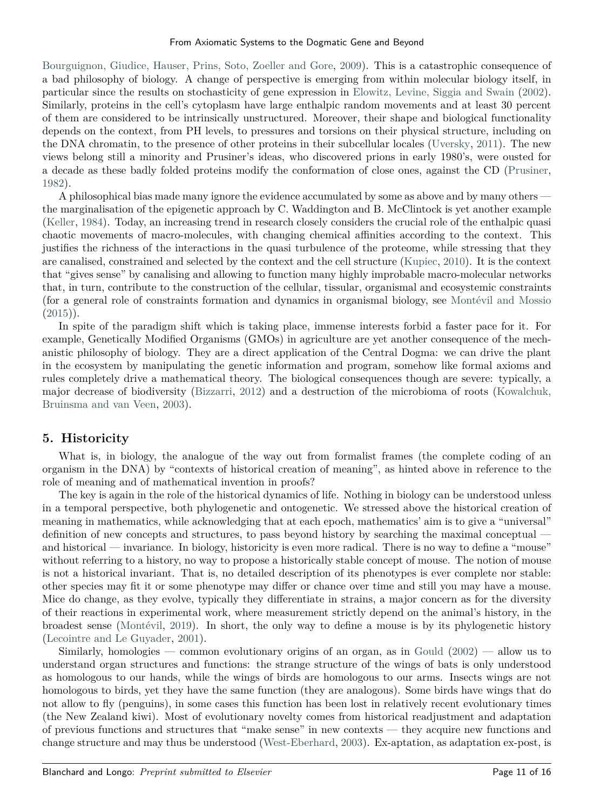[Bourguignon, Giudice, Hauser, Prins, Soto, Zoeller and Gore,](#page-13-31) [2009\)](#page-13-31). This is a catastrophic consequence of a bad philosophy of biology. A change of perspective is emerging from within molecular biology itself, in particular since the results on stochasticity of gene expression in [Elowitz, Levine, Siggia and Swain](#page-13-32) [\(2002\)](#page-13-32). Similarly, proteins in the cell's cytoplasm have large enthalpic random movements and at least 30 percent of them are considered to be intrinsically unstructured. Moreover, their shape and biological functionality depends on the context, from PH levels, to pressures and torsions on their physical structure, including on the DNA chromatin, to the presence of other proteins in their subcellular locales [\(Uversky,](#page-15-11) [2011\)](#page-15-11). The new views belong still a minority and Prusiner's ideas, who discovered prions in early 1980's, were ousted for a decade as these badly folded proteins modify the conformation of close ones, against the CD [\(Prusiner,](#page-14-33) [1982\)](#page-14-33).

A philosophical bias made many ignore the evidence accumulated by some as above and by many others the marginalisation of the epigenetic approach by C. Waddington and B. McClintock is yet another example [\(Keller,](#page-14-34) [1984\)](#page-14-34). Today, an increasing trend in research closely considers the crucial role of the enthalpic quasi chaotic movements of macro-molecules, with changing chemical affinities according to the context. This justifies the richness of the interactions in the quasi turbulence of the proteome, while stressing that they are canalised, constrained and selected by the context and the cell structure [\(Kupiec,](#page-14-35) [2010\)](#page-14-35). It is the context that "gives sense" by canalising and allowing to function many highly improbable macro-molecular networks that, in turn, contribute to the construction of the cellular, tissular, organismal and ecosystemic constraints (for a general role of constraints formation and dynamics in organismal biology, see [Montévil and Mossio](#page-14-36)  $(2015)$ ).

In spite of the paradigm shift which is taking place, immense interests forbid a faster pace for it. For example, Genetically Modified Organisms (GMOs) in agriculture are yet another consequence of the mechanistic philosophy of biology. They are a direct application of the Central Dogma: we can drive the plant in the ecosystem by manipulating the genetic information and program, somehow like formal axioms and rules completely drive a mathematical theory. The biological consequences though are severe: typically, a major decrease of biodiversity [\(Bizzarri,](#page-13-33) [2012\)](#page-13-33) and a destruction of the microbioma of roots [\(Kowalchuk,](#page-14-37) [Bruinsma and van Veen,](#page-14-37) [2003\)](#page-14-37).

## **5. Historicity**

What is, in biology, the analogue of the way out from formalist frames (the complete coding of an organism in the DNA) by "contexts of historical creation of meaning", as hinted above in reference to the role of meaning and of mathematical invention in proofs?

The key is again in the role of the historical dynamics of life. Nothing in biology can be understood unless in a temporal perspective, both phylogenetic and ontogenetic. We stressed above the historical creation of meaning in mathematics, while acknowledging that at each epoch, mathematics' aim is to give a "universal" definition of new concepts and structures, to pass beyond history by searching the maximal conceptual and historical — invariance. In biology, historicity is even more radical. There is no way to define a "mouse" without referring to a history, no way to propose a historically stable concept of mouse. The notion of mouse is not a historical invariant. That is, no detailed description of its phenotypes is ever complete nor stable: other species may fit it or some phenotype may differ or chance over time and still you may have a mouse. Mice do change, as they evolve, typically they differentiate in strains, a major concern as for the diversity of their reactions in experimental work, where measurement strictly depend on the animal's history, in the broadest sense [\(Montévil,](#page-14-38) [2019\)](#page-14-38). In short, the only way to define a mouse is by its phylogenetic history [\(Lecointre and Le Guyader,](#page-14-39) [2001\)](#page-14-39).

Similarly, homologies — common evolutionary origins of an organ, as in [Gould](#page-13-34)  $(2002)$  — allow us to understand organ structures and functions: the strange structure of the wings of bats is only understood as homologous to our hands, while the wings of birds are homologous to our arms. Insects wings are not homologous to birds, yet they have the same function (they are analogous). Some birds have wings that do not allow to fly (penguins), in some cases this function has been lost in relatively recent evolutionary times (the New Zealand kiwi). Most of evolutionary novelty comes from historical readjustment and adaptation of previous functions and structures that "make sense" in new contexts — they acquire new functions and change structure and may thus be understood [\(West-Eberhard,](#page-15-12) [2003\)](#page-15-12). Ex-aptation, as adaptation ex-post, is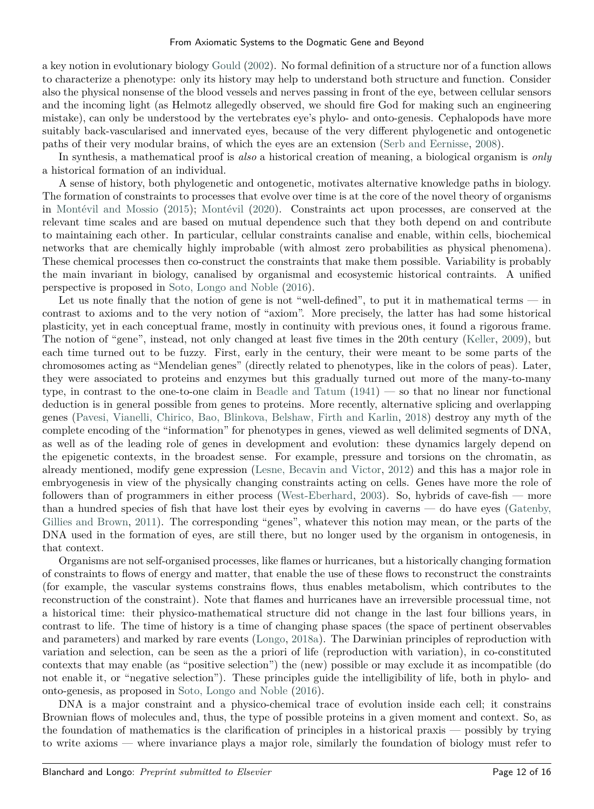a key notion in evolutionary biology [Gould](#page-13-34) [\(2002\)](#page-13-34). No formal definition of a structure nor of a function allows to characterize a phenotype: only its history may help to understand both structure and function. Consider also the physical nonsense of the blood vessels and nerves passing in front of the eye, between cellular sensors and the incoming light (as Helmotz allegedly observed, we should fire God for making such an engineering mistake), can only be understood by the vertebrates eye's phylo- and onto-genesis. Cephalopods have more suitably back-vascularised and innervated eyes, because of the very different phylogenetic and ontogenetic paths of their very modular brains, of which the eyes are an extension [\(Serb and Eernisse,](#page-15-13) [2008\)](#page-15-13).

In synthesis, a mathematical proof is *also* a historical creation of meaning, a biological organism is *only* a historical formation of an individual.

A sense of history, both phylogenetic and ontogenetic, motivates alternative knowledge paths in biology. The formation of constraints to processes that evolve over time is at the core of the novel theory of organisms in [Montévil and Mossio](#page-14-36) [\(2015\)](#page-14-36); [Montévil](#page-14-40) [\(2020\)](#page-14-40). Constraints act upon processes, are conserved at the relevant time scales and are based on mutual dependence such that they both depend on and contribute to maintaining each other. In particular, cellular constraints canalise and enable, within cells, biochemical networks that are chemically highly improbable (with almost zero probabilities as physical phenomena). These chemical processes then co-construct the constraints that make them possible. Variability is probably the main invariant in biology, canalised by organismal and ecosystemic historical contraints. A unified perspective is proposed in [Soto, Longo and Noble](#page-15-14) [\(2016\)](#page-15-14).

Let us note finally that the notion of gene is not "well-defined", to put it in mathematical terms — in contrast to axioms and to the very notion of "axiom". More precisely, the latter has had some historical plasticity, yet in each conceptual frame, mostly in continuity with previous ones, it found a rigorous frame. The notion of "gene", instead, not only changed at least five times in the 20th century [\(Keller,](#page-14-22) [2009\)](#page-14-22), but each time turned out to be fuzzy. First, early in the century, their were meant to be some parts of the chromosomes acting as "Mendelian genes" (directly related to phenotypes, like in the colors of peas). Later, they were associated to proteins and enzymes but this gradually turned out more of the many-to-many type, in contrast to the one-to-one claim in [Beadle and Tatum](#page-13-23) [\(1941\)](#page-13-23) — so that no linear nor functional deduction is in general possible from genes to proteins. More recently, alternative splicing and overlapping genes [\(Pavesi, Vianelli, Chirico, Bao, Blinkova, Belshaw, Firth and Karlin,](#page-14-41) [2018\)](#page-14-41) destroy any myth of the complete encoding of the "information" for phenotypes in genes, viewed as well delimited segments of DNA, as well as of the leading role of genes in development and evolution: these dynamics largely depend on the epigenetic contexts, in the broadest sense. For example, pressure and torsions on the chromatin, as already mentioned, modify gene expression [\(Lesne, Becavin and Victor,](#page-14-42) [2012\)](#page-14-42) and this has a major role in embryogenesis in view of the physically changing constraints acting on cells. Genes have more the role of followers than of programmers in either process [\(West-Eberhard,](#page-15-12) [2003\)](#page-15-12). So, hybrids of cave-fish — more than a hundred species of fish that have lost their eyes by evolving in caverns — do have eyes [\(Gatenby,](#page-13-35) [Gillies and Brown,](#page-13-35) [2011\)](#page-13-35). The corresponding "genes", whatever this notion may mean, or the parts of the DNA used in the formation of eyes, are still there, but no longer used by the organism in ontogenesis, in that context.

Organisms are not self-organised processes, like flames or hurricanes, but a historically changing formation of constraints to flows of energy and matter, that enable the use of these flows to reconstruct the constraints (for example, the vascular systems constrains flows, thus enables metabolism, which contributes to the reconstruction of the constraint). Note that flames and hurricanes have an irreversible processual time, not a historical time: their physico-mathematical structure did not change in the last four billions years, in contrast to life. The time of history is a time of changing phase spaces (the space of pertinent observables and parameters) and marked by rare events [\(Longo,](#page-14-43) [2018a\)](#page-14-43). The Darwinian principles of reproduction with variation and selection, can be seen as the a priori of life (reproduction with variation), in co-constituted contexts that may enable (as "positive selection") the (new) possible or may exclude it as incompatible (do not enable it, or "negative selection"). These principles guide the intelligibility of life, both in phylo- and onto-genesis, as proposed in [Soto, Longo and Noble](#page-15-14) [\(2016\)](#page-15-14).

DNA is a major constraint and a physico-chemical trace of evolution inside each cell; it constrains Brownian flows of molecules and, thus, the type of possible proteins in a given moment and context. So, as the foundation of mathematics is the clarification of principles in a historical praxis — possibly by trying to write axioms — where invariance plays a major role, similarly the foundation of biology must refer to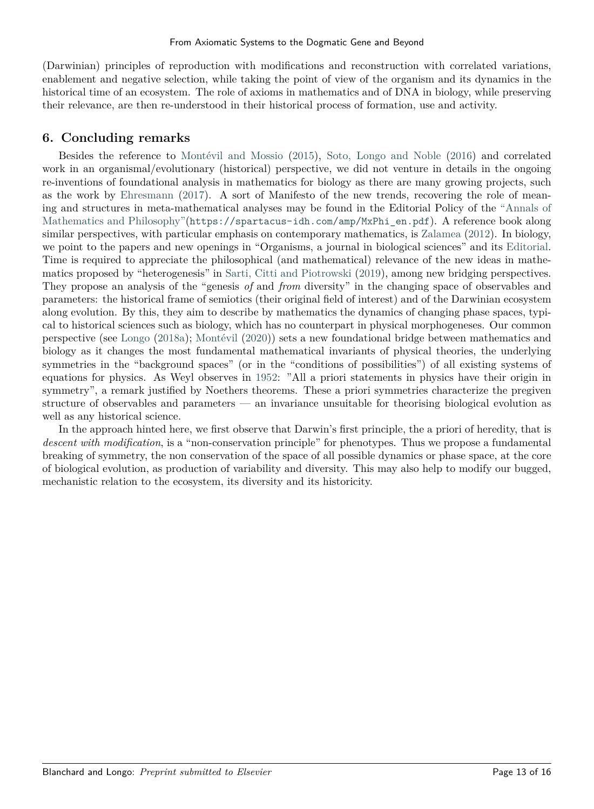(Darwinian) principles of reproduction with modifications and reconstruction with correlated variations, enablement and negative selection, while taking the point of view of the organism and its dynamics in the historical time of an ecosystem. The role of axioms in mathematics and of DNA in biology, while preserving their relevance, are then re-understood in their historical process of formation, use and activity.

## **6. Concluding remarks**

Besides the reference to [Montévil and Mossio](#page-14-36) [\(2015\)](#page-14-36), [Soto, Longo and Noble](#page-15-14) [\(2016\)](#page-15-14) and correlated work in an organismal/evolutionary (historical) perspective, we did not venture in details in the ongoing re-inventions of foundational analysis in mathematics for biology as there are many growing projects, such as the work by [Ehresmann](#page-13-36) [\(2017\)](#page-13-36). A sort of Manifesto of the new trends, recovering the role of meaning and structures in meta-mathematical analyses may be found in the Editorial Policy of the ["Annals of](https://spartacus-idh.com/revues/amp.html) [Mathematics and Philosophy"\(](https://spartacus-idh.com/revues/amp.html)[https://spartacus-idh.com/amp/MxPhi\\_en.pdf](https://spartacus-idh.com/amp/MxPhi_en.pdf)). A reference book along similar perspectives, with particular emphasis on contemporary mathematics, is [Zalamea](#page-15-15) [\(2012\)](#page-15-15). In biology, we point to the papers and new openings in "Organisms, a journal in biological sciences" and its [Editorial.](https://ojs.uniroma1.it/index.php/Organisms/about/editorialPolicies#custom-3) Time is required to appreciate the philosophical (and mathematical) relevance of the new ideas in mathematics proposed by "heterogenesis" in [Sarti, Citti and Piotrowski](#page-14-44) [\(2019\)](#page-14-44), among new bridging perspectives. They propose an analysis of the "genesis *of* and *from* diversity" in the changing space of observables and parameters: the historical frame of semiotics (their original field of interest) and of the Darwinian ecosystem along evolution. By this, they aim to describe by mathematics the dynamics of changing phase spaces, typical to historical sciences such as biology, which has no counterpart in physical morphogeneses. Our common perspective (see [Longo](#page-14-43) [\(2018a\)](#page-14-43); [Montévil](#page-14-40) [\(2020\)](#page-14-40)) sets a new foundational bridge between mathematics and biology as it changes the most fundamental mathematical invariants of physical theories, the underlying symmetries in the "background spaces" (or in the "conditions of possibilities") of all existing systems of equations for physics. As Weyl observes in [1952:](#page-15-1) "All a priori statements in physics have their origin in symmetry", a remark justified by Noethers theorems. These a priori symmetries characterize the pregiven structure of observables and parameters — an invariance unsuitable for theorising biological evolution as well as any historical science.

In the approach hinted here, we first observe that Darwin's first principle, the a priori of heredity, that is *descent with modification*, is a "non-conservation principle" for phenotypes. Thus we propose a fundamental breaking of symmetry, the non conservation of the space of all possible dynamics or phase space, at the core of biological evolution, as production of variability and diversity. This may also help to modify our bugged, mechanistic relation to the ecosystem, its diversity and its historicity.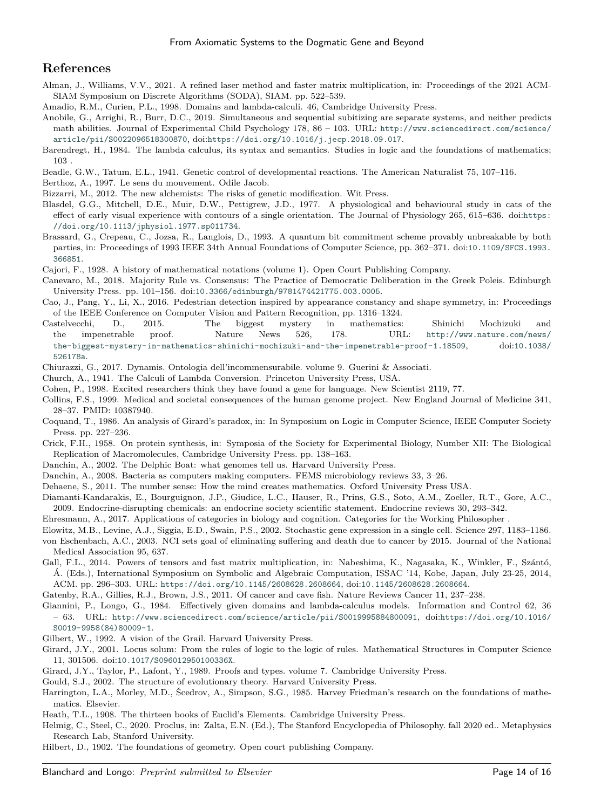## **References**

- <span id="page-13-19"></span>Alman, J., Williams, V.V., 2021. A refined laser method and faster matrix multiplication, in: Proceedings of the 2021 ACM-SIAM Symposium on Discrete Algorithms (SODA), SIAM. pp. 522–539.
- <span id="page-13-13"></span>Amadio, R.M., Curien, P.L., 1998. Domains and lambda-calculi. 46, Cambridge University Press.
- <span id="page-13-4"></span>Anobile, G., Arrighi, R., Burr, D.C., 2019. Simultaneous and sequential subitizing are separate systems, and neither predicts math abilities. Journal of Experimental Child Psychology 178, 86 – 103. URL: [http://www.sciencedirect.com/science/](http://www.sciencedirect.com/science/article/pii/S0022096518300870) [article/pii/S0022096518300870](http://www.sciencedirect.com/science/article/pii/S0022096518300870), doi:[https://doi.org/10.1016/j.jecp.2018.09.017](http://dx.doi.org/https://doi.org/10.1016/j.jecp.2018.09.017).
- <span id="page-13-11"></span>Barendregt, H., 1984. The lambda calculus, its syntax and semantics. Studies in logic and the foundations of mathematics; 103 .
- <span id="page-13-23"></span>Beadle, G.W., Tatum, E.L., 1941. Genetic control of developmental reactions. The American Naturalist 75, 107–116.
- <span id="page-13-5"></span>Berthoz, A., 1997. Le sens du mouvement. Odile Jacob.
- <span id="page-13-33"></span>Bizzarri, M., 2012. The new alchemists: The risks of genetic modification. Wit Press.
- <span id="page-13-7"></span>Blasdel, G.G., Mitchell, D.E., Muir, D.W., Pettigrew, J.D., 1977. A physiological and behavioural study in cats of the effect of early visual experience with contours of a single orientation. The Journal of Physiology 265, 615–636. doi:[https:](http://dx.doi.org/https://doi.org/10.1113/jphysiol.1977.sp011734) [//doi.org/10.1113/jphysiol.1977.sp011734](http://dx.doi.org/https://doi.org/10.1113/jphysiol.1977.sp011734).
- <span id="page-13-16"></span>Brassard, G., Crepeau, C., Jozsa, R., Langlois, D., 1993. A quantum bit commitment scheme provably unbreakable by both parties, in: Proceedings of 1993 IEEE 34th Annual Foundations of Computer Science, pp. 362–371. doi:[10.1109/SFCS.1993.](http://dx.doi.org/10.1109/SFCS.1993.366851) [366851](http://dx.doi.org/10.1109/SFCS.1993.366851).
- <span id="page-13-9"></span>Cajori, F., 1928. A history of mathematical notations (volume 1). Open Court Publishing Company.
- <span id="page-13-1"></span>Canevaro, M., 2018. Majority Rule vs. Consensus: The Practice of Democratic Deliberation in the Greek Poleis. Edinburgh University Press. pp. 101–156. doi:[10.3366/edinburgh/9781474421775.003.0005](http://dx.doi.org/10.3366/edinburgh/9781474421775.003.0005).
- <span id="page-13-6"></span>Cao, J., Pang, Y., Li, X., 2016. Pedestrian detection inspired by appearance constancy and shape symmetry, in: Proceedings of the IEEE Conference on Computer Vision and Pattern Recognition, pp. 1316–1324.
- <span id="page-13-17"></span>Castelvecchi, D., 2015. The biggest mystery in mathematics: Shinichi Mochizuki and the impenetrable proof. Nature News 526, 178. URL: [http://www.nature.com/news/](http://www.nature.com/news/the-biggest-mystery-in-mathematics-shinichi-mochizuki-and-the-impenetrable-proof-1.18509) [the-biggest-mystery-in-mathematics-shinichi-mochizuki-and-the-impenetrable-proof-1.18509](http://www.nature.com/news/the-biggest-mystery-in-mathematics-shinichi-mochizuki-and-the-impenetrable-proof-1.18509), doi:[10.1038/](http://dx.doi.org/10.1038/526178a) [526178a](http://dx.doi.org/10.1038/526178a).
- <span id="page-13-0"></span>Chiurazzi, G., 2017. Dynamis. Ontologia dell'incommensurabile. volume 9. Guerini & Associati.
- <span id="page-13-10"></span>Church, A., 1941. The Calculi of Lambda Conversion. Princeton University Press, USA.
- <span id="page-13-30"></span>Cohen, P., 1998. Excited researchers think they have found a gene for language. New Scientist 2119, 77.
- <span id="page-13-24"></span>Collins, F.S., 1999. Medical and societal consequences of the human genome project. New England Journal of Medicine 341, 28–37. PMID: 10387940.
- <span id="page-13-12"></span>Coquand, T., 1986. An analysis of Girard's paradox, in: In Symposium on Logic in Computer Science, IEEE Computer Society Press. pp. 227–236.
- <span id="page-13-25"></span>Crick, F.H., 1958. On protein synthesis, in: Symposia of the Society for Experimental Biology, Number XII: The Biological Replication of Macromolecules, Cambridge University Press. pp. 138–163.
- <span id="page-13-28"></span>Danchin, A., 2002. The Delphic Boat: what genomes tell us. Harvard University Press.
- <span id="page-13-29"></span>Danchin, A., 2008. Bacteria as computers making computers. FEMS microbiology reviews 33, 3–26.
- <span id="page-13-3"></span>Dehaene, S., 2011. The number sense: How the mind creates mathematics. Oxford University Press USA.
- <span id="page-13-31"></span>Diamanti-Kandarakis, E., Bourguignon, J.P., Giudice, L.C., Hauser, R., Prins, G.S., Soto, A.M., Zoeller, R.T., Gore, A.C., 2009. Endocrine-disrupting chemicals: an endocrine society scientific statement. Endocrine reviews 30, 293–342.
- <span id="page-13-36"></span>Ehresmann, A., 2017. Applications of categories in biology and cognition. Categories for the Working Philosopher .
- <span id="page-13-32"></span>Elowitz, M.B., Levine, A.J., Siggia, E.D., Swain, P.S., 2002. Stochastic gene expression in a single cell. Science 297, 1183–1186.
- <span id="page-13-27"></span>von Eschenbach, A.C., 2003. NCI sets goal of eliminating suffering and death due to cancer by 2015. Journal of the National Medical Association 95, 637.
- <span id="page-13-18"></span>Gall, F.L., 2014. Powers of tensors and fast matrix multiplication, in: Nabeshima, K., Nagasaka, K., Winkler, F., Szántó, Á. (Eds.), International Symposium on Symbolic and Algebraic Computation, ISSAC '14, Kobe, Japan, July 23-25, 2014, ACM. pp. 296–303. URL: <https://doi.org/10.1145/2608628.2608664>, doi:[10.1145/2608628.2608664](http://dx.doi.org/10.1145/2608628.2608664).
- <span id="page-13-35"></span>Gatenby, R.A., Gillies, R.J., Brown, J.S., 2011. Of cancer and cave fish. Nature Reviews Cancer 11, 237–238.
- <span id="page-13-15"></span>Giannini, P., Longo, G., 1984. Effectively given domains and lambda-calculus models. Information and Control 62, 36 – 63. URL: <http://www.sciencedirect.com/science/article/pii/S0019995884800091>, doi:[https://doi.org/10.1016/](http://dx.doi.org/https://doi.org/10.1016/S0019-9958(84)80009-1) [S0019-9958\(84\)80009-1](http://dx.doi.org/https://doi.org/10.1016/S0019-9958(84)80009-1).
- <span id="page-13-26"></span>Gilbert, W., 1992. A vision of the Grail. Harvard University Press.
- <span id="page-13-14"></span>Girard, J.Y., 2001. Locus solum: From the rules of logic to the logic of rules. Mathematical Structures in Computer Science 11, 301506. doi:[10.1017/S096012950100336X](http://dx.doi.org/10.1017/S096012950100336X).
- <span id="page-13-21"></span>Girard, J.Y., Taylor, P., Lafont, Y., 1989. Proofs and types. volume 7. Cambridge University Press.
- <span id="page-13-34"></span>Gould, S.J., 2002. The structure of evolutionary theory. Harvard University Press.
- <span id="page-13-20"></span>Harrington, L.A., Morley, M.D., Šcedrov, A., Simpson, S.G., 1985. Harvey Friedman's research on the foundations of mathematics. Elsevier.
- <span id="page-13-8"></span>Heath, T.L., 1908. The thirteen books of Euclid's Elements. Cambridge University Press.
- <span id="page-13-2"></span>Helmig, C., Steel, C., 2020. Proclus, in: Zalta, E.N. (Ed.), The Stanford Encyclopedia of Philosophy. fall 2020 ed.. Metaphysics Research Lab, Stanford University.
- <span id="page-13-22"></span>Hilbert, D., 1902. The foundations of geometry. Open court publishing Company.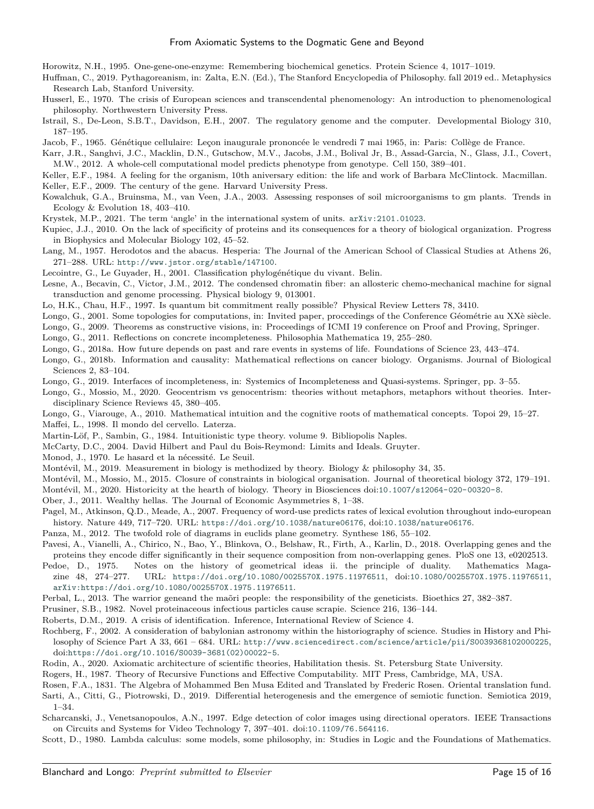<span id="page-14-23"></span>Horowitz, N.H., 1995. One-gene-one-enzyme: Remembering biochemical genetics. Protein Science 4, 1017–1019.

- <span id="page-14-0"></span>Huffman, C., 2019. Pythagoreanism, in: Zalta, E.N. (Ed.), The Stanford Encyclopedia of Philosophy. fall 2019 ed.. Metaphysics Research Lab, Stanford University.
- <span id="page-14-19"></span>Husserl, E., 1970. The crisis of European sciences and transcendental phenomenology: An introduction to phenomenological philosophy. Northwestern University Press.
- <span id="page-14-24"></span>Istrail, S., De-Leon, S.B.T., Davidson, E.H., 2007. The regulatory genome and the computer. Developmental Biology 310, 187–195.

<span id="page-14-27"></span>Jacob, F., 1965. Génétique cellulaire: Leçon inaugurale prononcée le vendredi 7 mai 1965, in: Paris: Collège de France.

<span id="page-14-26"></span>Karr, J.R., Sanghvi, J.C., Macklin, D.N., Gutschow, M.V., Jacobs, J.M., Bolival Jr, B., Assad-Garcia, N., Glass, J.I., Covert, M.W., 2012. A whole-cell computational model predicts phenotype from genotype. Cell 150, 389–401.

<span id="page-14-34"></span><span id="page-14-22"></span>Keller, E.F., 1984. A feeling for the organism, 10th aniversary edition: the life and work of Barbara McClintock. Macmillan. Keller, E.F., 2009. The century of the gene. Harvard University Press.

- 
- <span id="page-14-37"></span>Kowalchuk, G.A., Bruinsma, M., van Veen, J.A., 2003. Assessing responses of soil microorganisms to gm plants. Trends in Ecology & Evolution 18, 403–410.
- <span id="page-14-10"></span>Krystek, M.P., 2021. The term 'angle' in the international system of units. [arXiv:2101.01023](http://arxiv.org/abs/2101.01023).
- <span id="page-14-35"></span>Kupiec, J.J., 2010. On the lack of specificity of proteins and its consequences for a theory of biological organization. Progress in Biophysics and Molecular Biology 102, 45–52.
- <span id="page-14-9"></span>Lang, M., 1957. Herodotos and the abacus. Hesperia: The Journal of the American School of Classical Studies at Athens 26, 271–288. URL: <http://www.jstor.org/stable/147100>.
- <span id="page-14-39"></span>Lecointre, G., Le Guyader, H., 2001. Classification phylogénétique du vivant. Belin.
- <span id="page-14-42"></span>Lesne, A., Becavin, C., Victor, J.M., 2012. The condensed chromatin fiber: an allosteric chemo-mechanical machine for signal transduction and genome processing. Physical biology 9, 013001.
- <span id="page-14-15"></span>Lo, H.K., Chau, H.F., 1997. Is quantum bit commitment really possible? Physical Review Letters 78, 3410.
- <span id="page-14-13"></span>Longo, G., 2001. Some topologies for computations, in: Invited paper, proccedings of the Conference Géométrie au XXè siècle.
- <span id="page-14-17"></span><span id="page-14-2"></span>Longo, G., 2009. Theorems as constructive visions, in: Proceedings of ICMI 19 conference on Proof and Proving, Springer.
- Longo, G., 2011. Reflections on concrete incompleteness. Philosophia Mathematica 19, 255–280.
- <span id="page-14-43"></span>Longo, G., 2018a. How future depends on past and rare events in systems of life. Foundations of Science 23, 443–474.
- <span id="page-14-28"></span>Longo, G., 2018b. Information and causality: Mathematical reflections on cancer biology. Organisms. Journal of Biological Sciences 2, 83–104.
- <span id="page-14-32"></span>Longo, G., 2019. Interfaces of incompleteness, in: Systemics of Incompleteness and Quasi-systems. Springer, pp. 3–55.
- <span id="page-14-31"></span>Longo, G., Mossio, M., 2020. Geocentrism vs genocentrism: theories without metaphors, metaphors without theories. Interdisciplinary Science Reviews 45, 380–405.
- <span id="page-14-7"></span><span id="page-14-5"></span>Longo, G., Viarouge, A., 2010. Mathematical intuition and the cognitive roots of mathematical concepts. Topoi 29, 15–27. Maffei, L., 1998. Il mondo del cervello. Laterza.
- <span id="page-14-12"></span>Martin-Löf, P., Sambin, G., 1984. Intuitionistic type theory. volume 9. Bibliopolis Naples.
- <span id="page-14-18"></span>McCarty, D.C., 2004. David Hilbert and Paul du Bois-Reymond: Limits and Ideals. Gruyter.
- <span id="page-14-25"></span>Monod, J., 1970. Le hasard et la nécessité. Le Seuil.
- <span id="page-14-38"></span>Montévil, M., 2019. Measurement in biology is methodized by theory. Biology & philosophy 34, 35.
- <span id="page-14-36"></span>Montévil, M., Mossio, M., 2015. Closure of constraints in biological organisation. Journal of theoretical biology 372, 179–191.
- <span id="page-14-40"></span>Montévil, M., 2020. Historicity at the hearth of biology. Theory in Biosciences doi:[10.1007/s12064-020-00320-8](http://dx.doi.org/10.1007/s12064-020-00320-8).
- <span id="page-14-1"></span>Ober, J., 2011. Wealthy hellas. The Journal of Economic Asymmetries 8, 1–38.
- <span id="page-14-11"></span>Pagel, M., Atkinson, Q.D., Meade, A., 2007. Frequency of word-use predicts rates of lexical evolution throughout indo-european history. Nature 449, 717–720. URL: <https://doi.org/10.1038/nature06176>, doi:[10.1038/nature06176](http://dx.doi.org/10.1038/nature06176).
- <span id="page-14-3"></span>Panza, M., 2012. The twofold role of diagrams in euclids plane geometry. Synthese 186, 55–102.
- <span id="page-14-41"></span>Pavesi, A., Vianelli, A., Chirico, N., Bao, Y., Blinkova, O., Belshaw, R., Firth, A., Karlin, D., 2018. Overlapping genes and the proteins they encode differ significantly in their sequence composition from non-overlapping genes. PloS one 13, e0202513.
- <span id="page-14-4"></span>Pedoe, D., 1975. Notes on the history of geometrical ideas ii. the principle of duality. Mathematics Magazine 48, 274–277. URL: <https://doi.org/10.1080/0025570X.1975.11976511>, doi:[10.1080/0025570X.1975.11976511](http://dx.doi.org/10.1080/0025570X.1975.11976511), [arXiv:https://doi.org/10.1080/0025570X.1975.11976511](http://arxiv.org/abs/https://doi.org/10.1080/0025570X.1975.11976511).
- <span id="page-14-29"></span>Perbal, L., 2013. The warrior geneand the maõri people: the responsibility of the geneticists. Bioethics 27, 382–387.
- <span id="page-14-33"></span>Prusiner, S.B., 1982. Novel proteinaceous infectious particles cause scrapie. Science 216, 136–144.
- <span id="page-14-16"></span>Roberts, D.M., 2019. A crisis of identification. Inference, International Review of Science 4.
- <span id="page-14-21"></span>Rochberg, F., 2002. A consideration of babylonian astronomy within the historiography of science. Studies in History and Philosophy of Science Part A 33, 661 – 684. URL: <http://www.sciencedirect.com/science/article/pii/S0039368102000225>, doi:[https://doi.org/10.1016/S0039-3681\(02\)00022-5](http://dx.doi.org/https://doi.org/10.1016/S0039-3681(02)00022-5).
- <span id="page-14-20"></span>Rodin, A., 2020. Axiomatic architecture of scientific theories, Habilitation thesis. St. Petersburg State University.
- <span id="page-14-14"></span>Rogers, H., 1987. Theory of Recursive Functions and Effective Computability. MIT Press, Cambridge, MA, USA.
- <span id="page-14-44"></span><span id="page-14-8"></span>Rosen, F.A., 1831. The Algebra of Mohammed Ben Musa Edited and Translated by Frederic Rosen. Oriental translation fund. Sarti, A., Citti, G., Piotrowski, D., 2019. Differential heterogenesis and the emergence of semiotic function. Semiotica 2019, 1–34.
- <span id="page-14-6"></span>Scharcanski, J., Venetsanopoulos, A.N., 1997. Edge detection of color images using directional operators. IEEE Transactions on Circuits and Systems for Video Technology 7, 397–401. doi:[10.1109/76.564116](http://dx.doi.org/10.1109/76.564116).
- <span id="page-14-30"></span>Scott, D., 1980. Lambda calculus: some models, some philosophy, in: Studies in Logic and the Foundations of Mathematics.